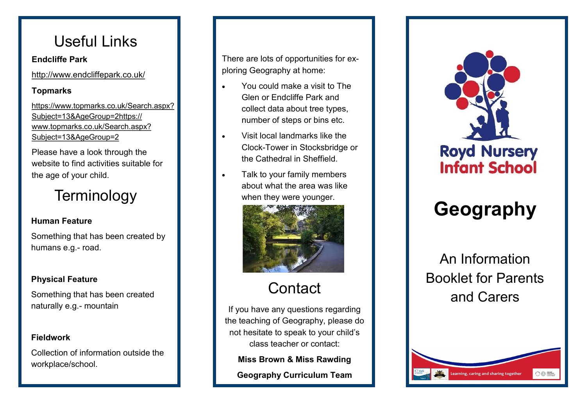### Useful Links

#### **Endcliffe Park**

http://www.endcliffepark.co.uk/

#### **Topmarks**

https://www.topmarks.co.uk/Search.aspx? Subject=13&AgeGroup=2https:// www.topmarks.co.uk/Search.aspx? Subject=13&AgeGroup=2

Please have a look through the website to find activities suitable for the age of your child.

### **Terminology**

### **Human Feature**

Something that has been created by humans e.g. - road.

### **Physical Feature**

Something that has been created naturally e.g. - mountain

#### **Fieldwork**

Collection of information outside the workplace/school.

There are lots of opportunities for exploring Geography at home:

- You could make a visit to The Glen or Endcliffe Park and collect data about tree types, number of steps or bins etc.
- Visit local landmarks like the Clock -Tower in Stocksbridge or the Cathedral in Sheffield.
- Talk to your family members about what the area was like when they were younger.



## **Contact**

If you have any questions regarding the teaching of Geography, please do not hesitate to speak to your child's class teacher or contact:

**Miss Brown & Miss Rawding**

**Geography Curriculum Team**



# **Geography**

An Information Booklet for Parents and Carers